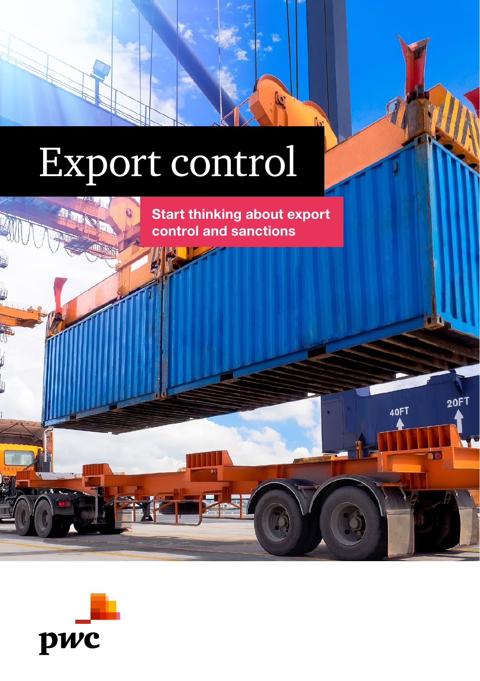# Export control

Start thinking about export control and sanctions

20FT

**BO** 

40FT

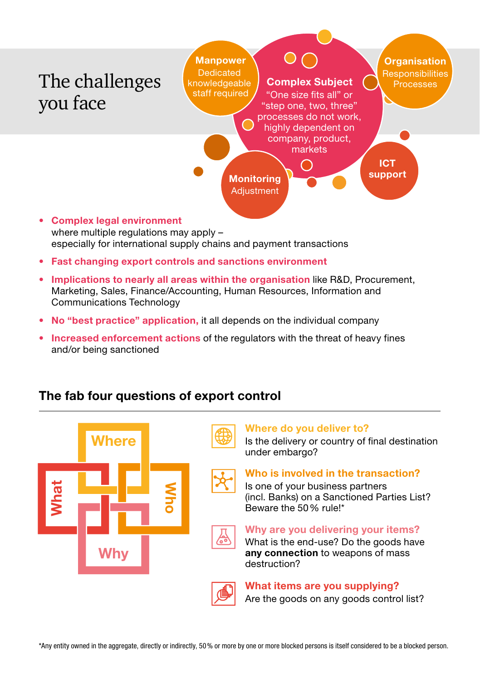

where multiple regulations may apply especially for international supply chains and payment transactions

- Fast changing export controls and sanctions environment
- Implications to nearly all areas within the organisation like R&D, Procurement, Marketing, Sales, Finance/Accounting, Human Resources, Information and Communications Technology
- No "best practice" application, it all depends on the individual company
- Increased enforcement actions of the regulators with the threat of heavy fines and/or being sanctioned

#### The fab four questions of export control

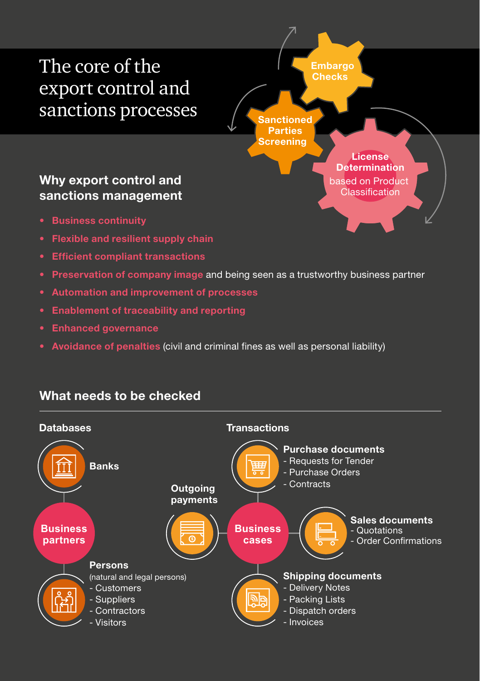## The core of the export control and sanctions processes

**Sanctioned Parties Screening Embargo Checks License Determination** based on Product Classification

#### Why export control and sanctions management

- Business continuity
- Flexible and resilient supply chain
- Efficient compliant transactions
- Preservation of company image and being seen as a trustworthy business partner
- Automation and improvement of processes
- Enablement of traceability and reporting
- Enhanced governance
- Avoidance of penalties (civil and criminal fines as well as personal liability)

#### What needs to be checked